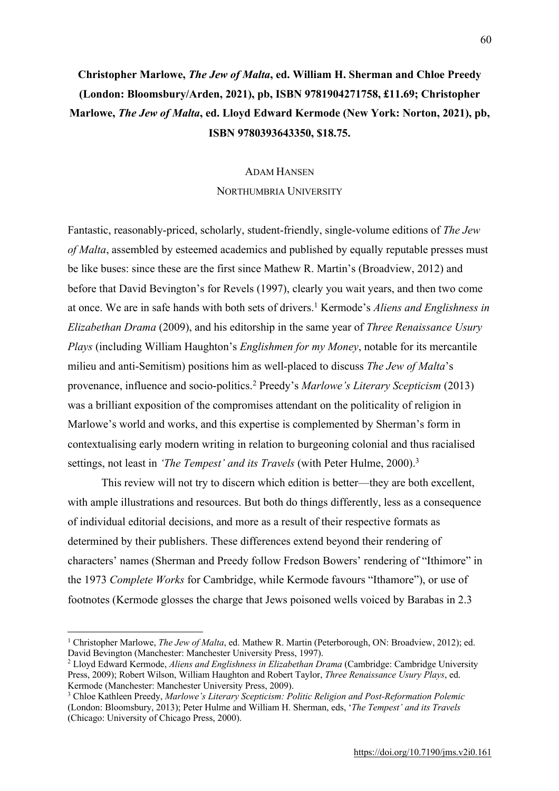## **Christopher Marlowe,** *The Jew of Malta***, ed. William H. Sherman and Chloe Preedy (London: Bloomsbury/Arden, 2021), pb, ISBN 9781904271758, £11.69; Christopher Marlowe,** *The Jew of Malta***, ed. Lloyd Edward Kermode (New York: Norton, 2021), pb, ISBN 9780393643350, \$18.75.**

## ADAM HANSEN

## NORTHUMBRIA UNIVERSITY

Fantastic, reasonably-priced, scholarly, student-friendly, single-volume editions of *The Jew of Malta*, assembled by esteemed academics and published by equally reputable presses must be like buses: since these are the first since Mathew R. Martin's (Broadview, 2012) and before that David Bevington's for Revels (1997), clearly you wait years, and then two come at once. We are in safe hands with both sets of drivers.1 Kermode's *Aliens and Englishness in Elizabethan Drama* (2009), and his editorship in the same year of *Three Renaissance Usury Plays* (including William Haughton's *Englishmen for my Money*, notable for its mercantile milieu and anti-Semitism) positions him as well-placed to discuss *The Jew of Malta*'s provenance, influence and socio-politics.2 Preedy's *Marlowe's Literary Scepticism* (2013) was a brilliant exposition of the compromises attendant on the politicality of religion in Marlowe's world and works, and this expertise is complemented by Sherman's form in contextualising early modern writing in relation to burgeoning colonial and thus racialised settings, not least in *'The Tempest' and its Travels* (with Peter Hulme, 2000). 3

This review will not try to discern which edition is better—they are both excellent, with ample illustrations and resources. But both do things differently, less as a consequence of individual editorial decisions, and more as a result of their respective formats as determined by their publishers. These differences extend beyond their rendering of characters' names (Sherman and Preedy follow Fredson Bowers' rendering of "Ithimore" in the 1973 *Complete Works* for Cambridge, while Kermode favours "Ithamore"), or use of footnotes (Kermode glosses the charge that Jews poisoned wells voiced by Barabas in 2.3

<sup>1</sup> Christopher Marlowe, *The Jew of Malta*, ed. Mathew R. Martin (Peterborough, ON: Broadview, 2012); ed. David Bevington (Manchester: Manchester University Press, 1997).

<sup>2</sup> Lloyd Edward Kermode, *Aliens and Englishness in Elizabethan Drama* (Cambridge: Cambridge University Press, 2009); Robert Wilson, William Haughton and Robert Taylor, *Three Renaissance Usury Plays*, ed. Kermode (Manchester: Manchester University Press, 2009).

<sup>3</sup> Chloe Kathleen Preedy, *Marlowe's Literary Scepticism: Politic Religion and Post-Reformation Polemic* (London: Bloomsbury, 2013); Peter Hulme and William H. Sherman, eds, '*The Tempest' and its Travels* (Chicago: University of Chicago Press, 2000).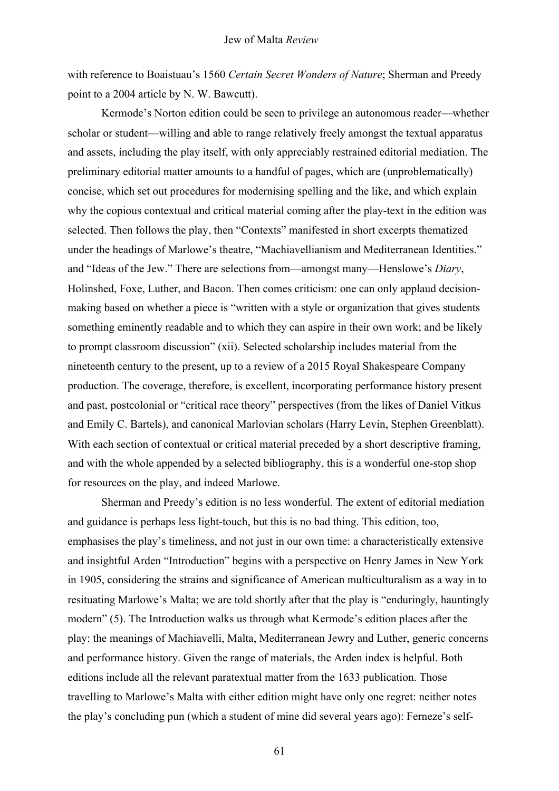with reference to Boaistuau's 1560 *Certain Secret Wonders of Nature*; Sherman and Preedy point to a 2004 article by N. W. Bawcutt).

Kermode's Norton edition could be seen to privilege an autonomous reader—whether scholar or student—willing and able to range relatively freely amongst the textual apparatus and assets, including the play itself, with only appreciably restrained editorial mediation. The preliminary editorial matter amounts to a handful of pages, which are (unproblematically) concise, which set out procedures for modernising spelling and the like, and which explain why the copious contextual and critical material coming after the play-text in the edition was selected. Then follows the play, then "Contexts" manifested in short excerpts thematized under the headings of Marlowe's theatre, "Machiavellianism and Mediterranean Identities." and "Ideas of the Jew." There are selections from—amongst many—Henslowe's *Diary*, Holinshed, Foxe, Luther, and Bacon. Then comes criticism: one can only applaud decisionmaking based on whether a piece is "written with a style or organization that gives students something eminently readable and to which they can aspire in their own work; and be likely to prompt classroom discussion" (xii). Selected scholarship includes material from the nineteenth century to the present, up to a review of a 2015 Royal Shakespeare Company production. The coverage, therefore, is excellent, incorporating performance history present and past, postcolonial or "critical race theory" perspectives (from the likes of Daniel Vitkus and Emily C. Bartels), and canonical Marlovian scholars (Harry Levin, Stephen Greenblatt). With each section of contextual or critical material preceded by a short descriptive framing, and with the whole appended by a selected bibliography, this is a wonderful one-stop shop for resources on the play, and indeed Marlowe.

Sherman and Preedy's edition is no less wonderful. The extent of editorial mediation and guidance is perhaps less light-touch, but this is no bad thing. This edition, too, emphasises the play's timeliness, and not just in our own time: a characteristically extensive and insightful Arden "Introduction" begins with a perspective on Henry James in New York in 1905, considering the strains and significance of American multiculturalism as a way in to resituating Marlowe's Malta; we are told shortly after that the play is "enduringly, hauntingly modern" (5). The Introduction walks us through what Kermode's edition places after the play: the meanings of Machiavelli, Malta, Mediterranean Jewry and Luther, generic concerns and performance history. Given the range of materials, the Arden index is helpful. Both editions include all the relevant paratextual matter from the 1633 publication. Those travelling to Marlowe's Malta with either edition might have only one regret: neither notes the play's concluding pun (which a student of mine did several years ago): Ferneze's self-

61